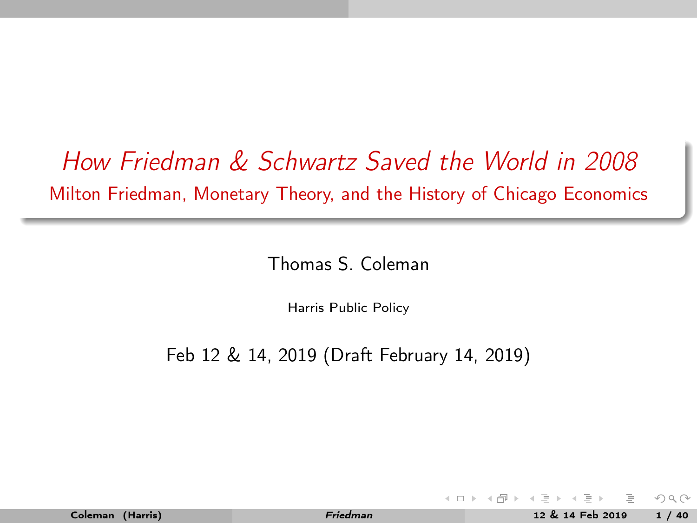# <span id="page-0-0"></span>How Friedman & Schwartz Saved the World in 2008 Milton Friedman, Monetary Theory, and the History of Chicago Economics

Thomas S. Coleman

Harris Public Policy

Feb 12 & 14, 2019 (Draft February 14, 2019)

 $\Omega \Omega$ 

∢ ロ ▶ . -( @ ) → ( B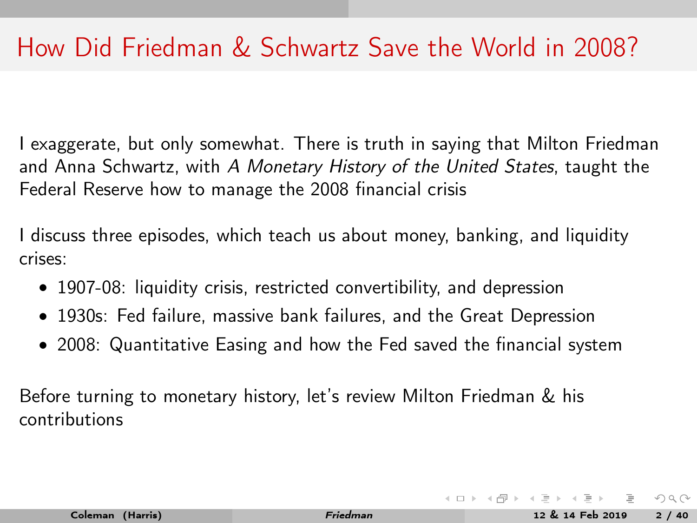I exaggerate, but only somewhat. There is truth in saying that Milton Friedman and Anna Schwartz, with A Monetary History of the United States, taught the Federal Reserve how to manage the 2008 financial crisis

I discuss three episodes, which teach us about money, banking, and liquidity crises:

- 1907-08: liquidity crisis, restricted convertibility, and depression
- 1930s: Fed failure, massive bank failures, and the Great Depression
- 2008: Quantitative Easing and how the Fed saved the financial system

Before turning to monetary history, let's review Milton Friedman & his contributions

 $\Omega \Omega$ 

 $\left\{ \begin{array}{ccc} 1 & 0 & 0 \\ 0 & 1 & 0 \end{array} \right\}$  ,  $\left\{ \begin{array}{ccc} 0 & 0 & 0 \\ 0 & 0 & 0 \end{array} \right\}$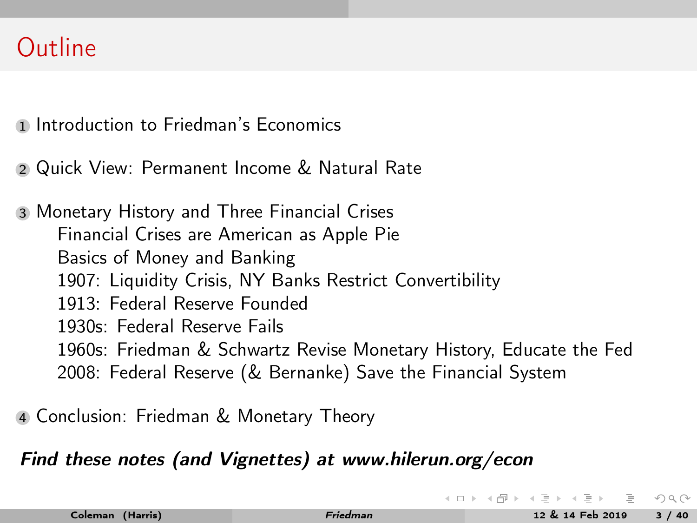## <span id="page-2-0"></span>**Outline**

- **1 [Introduction to Friedman's Economics](#page-3-0)**
- <sup>2</sup> [Quick View: Permanent Income & Natural Rate](#page-10-0)

<sup>3</sup> [Monetary History and Three Financial Crises](#page-13-0) [Financial Crises are American as Apple Pie](#page-13-0) [Basics of Money and Banking](#page-18-0) [1907: Liquidity Crisis, NY Banks Restrict Convertibility](#page-23-0) [1913: Federal Reserve Founded](#page-32-0) [1930s: Federal Reserve Fails](#page-34-0) [1960s: Friedman & Schwartz Revise Monetary History, Educate the Fed](#page-38-0) [2008: Federal Reserve \(& Bernanke\) Save the Financial System](#page-41-0)

<sup>4</sup> [Conclusion: Friedman & Monetary Theory](#page-45-0)

#### Find these notes (and Vignettes) at www.hilerun.org/econ

 $\Omega$ 

**K ロト K 母 ト K ヨ ト K**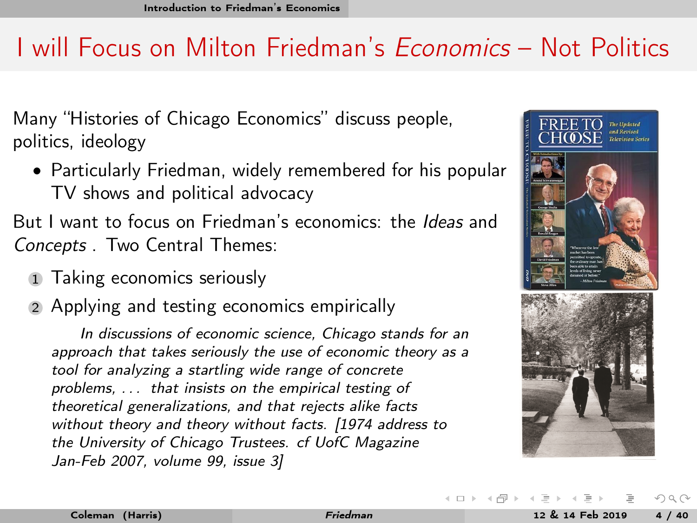# <span id="page-3-0"></span>I will Focus on Milton Friedman's Economics – Not Politics

Many "Histories of Chicago Economics" discuss people, politics, ideology

• Particularly Friedman, widely remembered for his popular TV shows and political advocacy

But I want to focus on Friedman's economics: the *Ideas* and Concepts . Two Central Themes:

- 1 Taking economics seriously
- 2 Applying and testing economics empirically

In discussions of economic science, Chicago stands for an approach that takes seriously the use of economic theory as a tool for analyzing a startling wide range of concrete problems, . . . that insists on the empirical testing of theoretical generalizations, and that rejects alike facts without theory and theory without facts. [1974 address to the University of Chicago Trustees. cf UofC Magazine Jan-Feb 2007, volume 99, issue 3]



 $OQ$ 

**K ロト K 母 ト K ヨ ト K**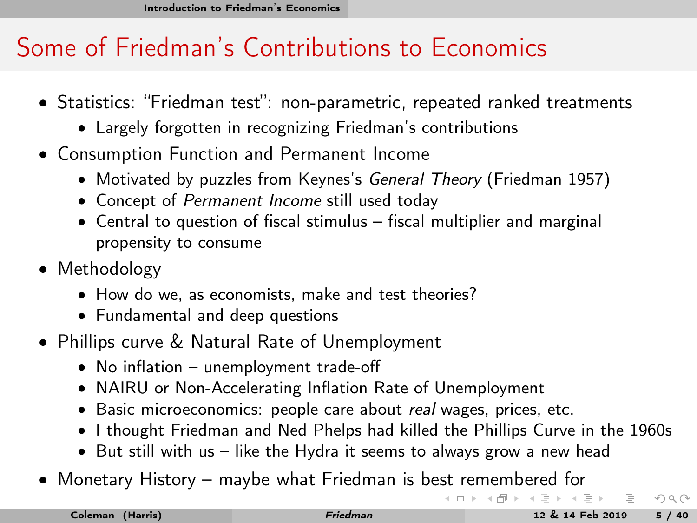# <span id="page-4-0"></span>Some of Friedman's Contributions to Economics

- Statistics: "Friedman test": non-parametric, repeated ranked treatments
	- Largely forgotten in recognizing Friedman's contributions
- Consumption Function and Permanent Income
	- Motivated by puzzles from Keynes's General Theory (Friedman 1957)
	- Concept of Permanent Income still used today
	- Central to question of fiscal stimulus fiscal multiplier and marginal propensity to consume
- Methodology
	- How do we, as economists, make and test theories?
	- Fundamental and deep questions
- Phillips curve & Natural Rate of Unemployment
	- No inflation unemployment trade-off
	- NAIRU or Non-Accelerating Inflation Rate of Unemployment
	- Basic microeconomics: people care about real wages, prices, etc.
	- I thought Friedman and Ned Phelps had killed the Phillips Curve in the 1960s
	- But still with us like the Hydra it seems to always grow a new head
- Monetary History maybe what Friedman is be[st](#page-3-0) r[e](#page-5-0)[m](#page-3-0)[em](#page-4-0)[b](#page-5-0)[e](#page-2-0)[re](#page-3-0)[d](#page-5-0)[fo](#page-2-0)[r](#page-3-0)

 $OQ$ 

 $($  ロ )  $($   $($   $\oplus$   $)$   $($   $\oplus$   $)$   $($   $\oplus$   $)$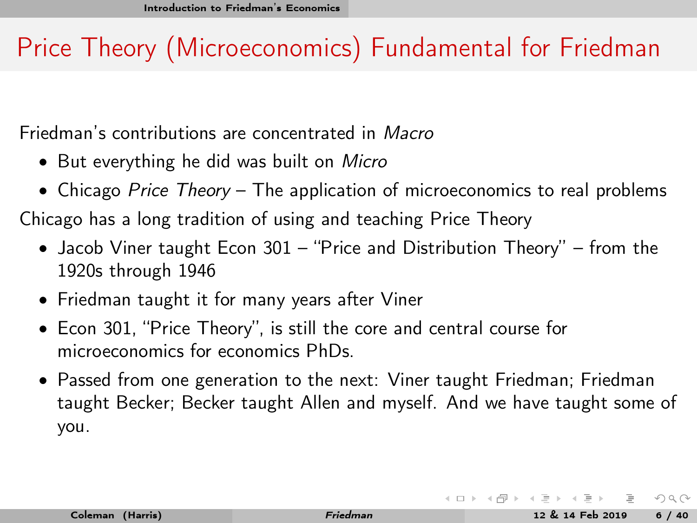# <span id="page-5-0"></span>Price Theory (Microeconomics) Fundamental for Friedman

Friedman's contributions are concentrated in Macro

- But everything he did was built on Micro
- Chicago Price Theory The application of microeconomics to real problems

Chicago has a long tradition of using and teaching Price Theory

- Jacob Viner taught Econ 301 "Price and Distribution Theory" from the 1920s through 1946
- Friedman taught it for many years after Viner
- Econ 301, "Price Theory", is still the core and central course for microeconomics for economics PhDs.
- Passed from one generation to the next: Viner taught Friedman; Friedman taught Becker; Becker taught Allen and myself. And we have taught some of you.

 $\Omega \Omega$ 

 $4$  ロト 4 何 ト 4 ヨ ト 4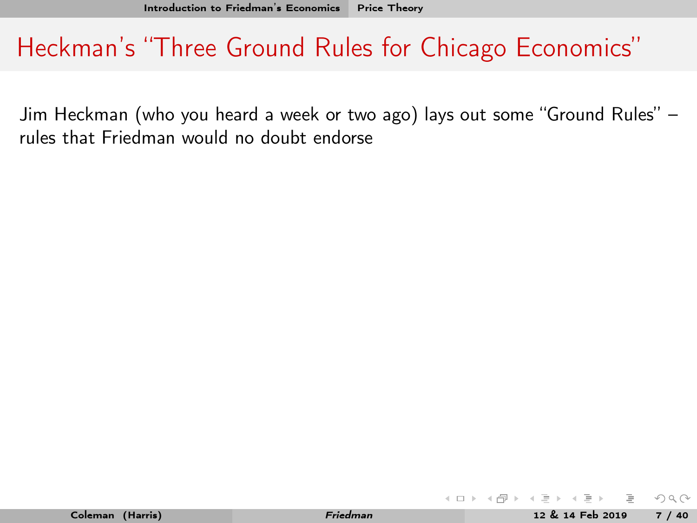<span id="page-6-0"></span>Jim Heckman (who you heard a week or two ago) lays out some "Ground Rules" – rules that Friedman would no doubt endorse

 $OQ$ 

 $4$  ロ }  $4$   $\overline{m}$  }  $4$   $\overline{m}$  }  $4$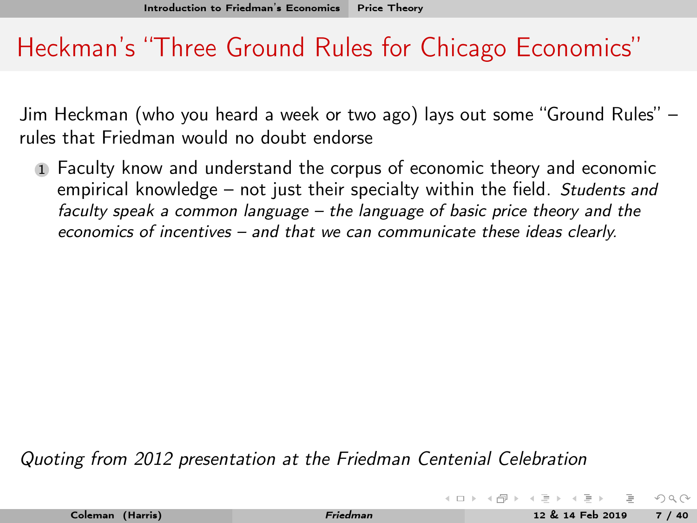Jim Heckman (who you heard a week or two ago) lays out some "Ground Rules" – rules that Friedman would no doubt endorse

<sup>1</sup> Faculty know and understand the corpus of economic theory and economic empirical knowledge – not just their specialty within the field. Students and faculty speak a common language – the language of basic price theory and the economics of incentives – and that we can communicate these ideas clearly.

Quoting from 2012 presentation at the Friedman Centenial Celebration

| Coleman (Harris) |
|------------------|
|                  |

 $OQ$ 

 $4$  ロト 4 何 ト 4 ヨ ト 4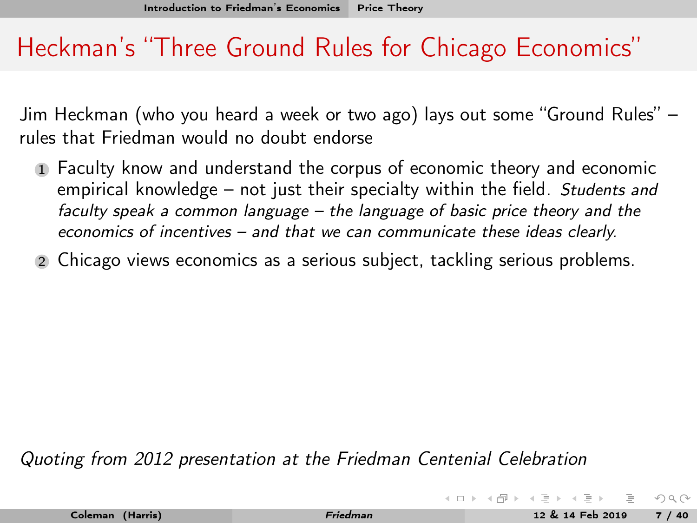Jim Heckman (who you heard a week or two ago) lays out some "Ground Rules" – rules that Friedman would no doubt endorse

- <sup>1</sup> Faculty know and understand the corpus of economic theory and economic empirical knowledge – not just their specialty within the field. Students and faculty speak a common language – the language of basic price theory and the economics of incentives – and that we can communicate these ideas clearly.
- <sup>2</sup> Chicago views economics as a serious subject, tackling serious problems.

Quoting from 2012 presentation at the Friedman Centenial Celebration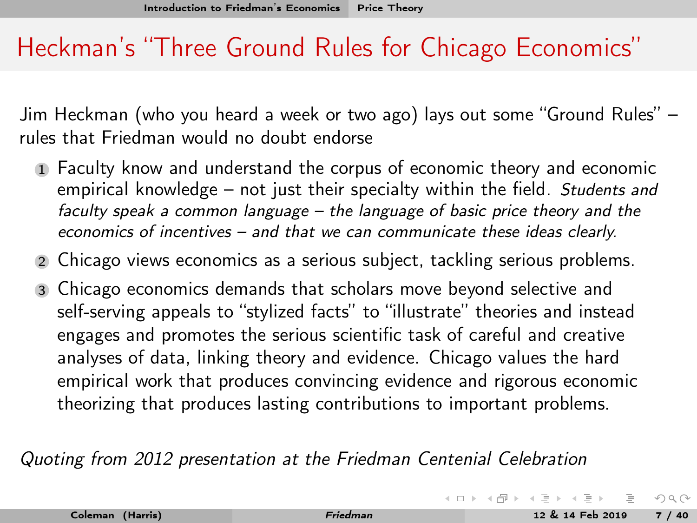Jim Heckman (who you heard a week or two ago) lays out some "Ground Rules" – rules that Friedman would no doubt endorse

- <sup>1</sup> Faculty know and understand the corpus of economic theory and economic empirical knowledge – not just their specialty within the field. Students and faculty speak a common language – the language of basic price theory and the economics of incentives – and that we can communicate these ideas clearly.
- <sup>2</sup> Chicago views economics as a serious subject, tackling serious problems.
- <sup>3</sup> Chicago economics demands that scholars move beyond selective and self-serving appeals to "stylized facts" to "illustrate" theories and instead engages and promotes the serious scientific task of careful and creative analyses of data, linking theory and evidence. Chicago values the hard empirical work that produces convincing evidence and rigorous economic theorizing that produces lasting contributions to important problems.

Quoting from 2012 presentation at the Friedman Centenial Celebration

 $OQ$ 

 $($  ロ )  $($   $($   $\oplus$   $)$   $($   $\oplus$   $)$   $($   $\oplus$   $)$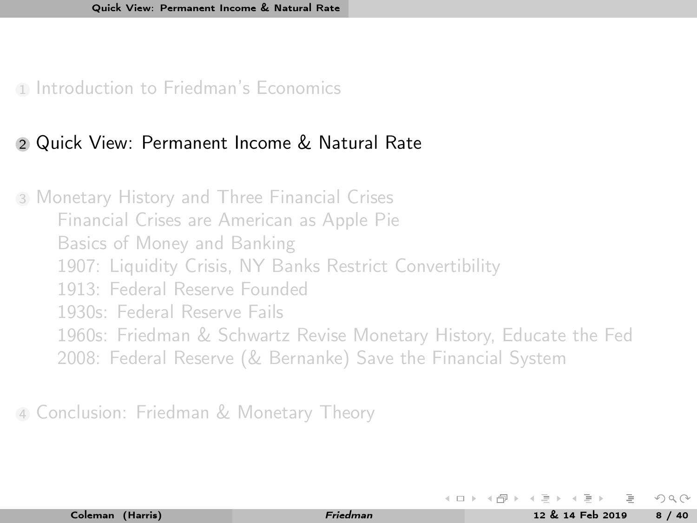<span id="page-10-0"></span>1 [Introduction to Friedman's Economics](#page-3-0)

#### <sup>2</sup> [Quick View: Permanent Income & Natural Rate](#page-10-0)

<sup>3</sup> [Monetary History and Three Financial Crises](#page-13-0) [Financial Crises are American as Apple Pie](#page-13-0) [Basics of Money and Banking](#page-18-0) [1907: Liquidity Crisis, NY Banks Restrict Convertibility](#page-23-0) [1913: Federal Reserve Founded](#page-32-0) [1930s: Federal Reserve Fails](#page-34-0) [1960s: Friedman & Schwartz Revise Monetary History, Educate the Fed](#page-38-0) [2008: Federal Reserve \(& Bernanke\) Save the Financial System](#page-41-0)

<sup>4</sup> [Conclusion: Friedman & Monetary Theory](#page-45-0)

 $\Omega$ 

 $4$  ロト 4 何 ト 4 ヨ ト 4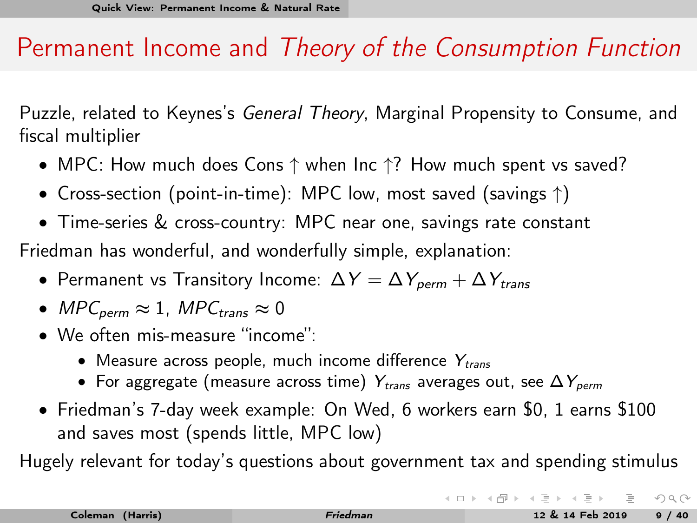### Permanent Income and Theory of the Consumption Function

Puzzle, related to Keynes's General Theory, Marginal Propensity to Consume, and fiscal multiplier

- MPC: How much does Cons ↑ when Inc ↑? How much spent vs saved?
- Cross-section (point-in-time): MPC low, most saved (savings ↑)
- Time-series & cross-country: MPC near one, savings rate constant

Friedman has wonderful, and wonderfully simple, explanation:

- Permanent vs Transitory Income:  $\Delta Y = \Delta Y_{\text{perm}} + \Delta Y_{\text{trans}}$
- MPC<sub>perm</sub>  $\approx 1$ , MPC<sub>trans</sub>  $\approx 0$
- We often mis-measure "income":
	- Measure across people, much income difference  $Y_{trans}$
	- For aggregate (measure across time)  $Y_{trans}$  averages out, see  $\Delta Y_{perm}$
- Friedman's 7-day week example: On Wed, 6 workers earn \$0, 1 earns \$100 and saves most (spends little, MPC low)

Hugely relevant for today's questions about government tax and spending stimulus

 $OQ$ 

 $($  ロ )  $($   $($   $\oplus$   $)$   $($   $\oplus$   $)$   $($   $\oplus$   $)$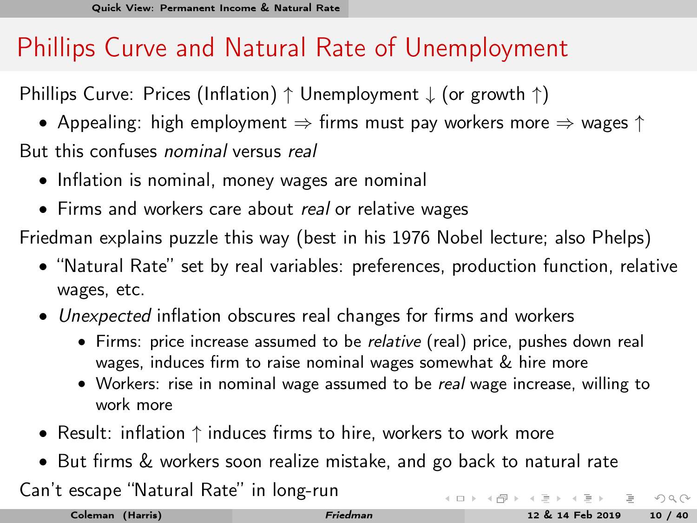## <span id="page-12-0"></span>Phillips Curve and Natural Rate of Unemployment

Phillips Curve: Prices (Inflation) ↑ Unemployment ↓ (or growth ↑)

- Appealing: high employment  $\Rightarrow$  firms must pay workers more  $\Rightarrow$  wages  $\uparrow$
- But this confuses nominal versus real
	- Inflation is nominal, money wages are nominal
	- Firms and workers care about real or relative wages

Friedman explains puzzle this way (best in his 1976 Nobel lecture; also Phelps)

- "Natural Rate" set by real variables: preferences, production function, relative wages, etc.
- Unexpected inflation obscures real changes for firms and workers
	- Firms: price increase assumed to be relative (real) price, pushes down real wages, induces firm to raise nominal wages somewhat & hire more
	- Workers: rise in nominal wage assumed to be real wage increase, willing to work more
- Result: inflation ↑ induces firms to hire, workers to work more
- But firms & workers soon realize mistake, and go back to natural rate

Can't escape "Natural Rate" in long-run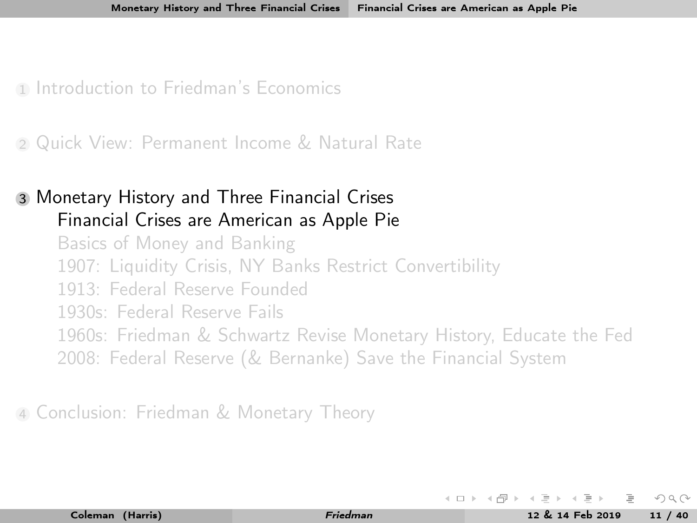<span id="page-13-0"></span>1 [Introduction to Friedman's Economics](#page-3-0)

<sup>2</sup> [Quick View: Permanent Income & Natural Rate](#page-10-0)

#### <sup>3</sup> [Monetary History and Three Financial Crises](#page-13-0) [Financial Crises are American as Apple Pie](#page-13-0)

[Basics of Money and Banking](#page-18-0) [1907: Liquidity Crisis, NY Banks Restrict Convertibility](#page-23-0) [1913: Federal Reserve Founded](#page-32-0) [1930s: Federal Reserve Fails](#page-34-0) [1960s: Friedman & Schwartz Revise Monetary History, Educate the Fed](#page-38-0) [2008: Federal Reserve \(& Bernanke\) Save the Financial System](#page-41-0)

<sup>4</sup> [Conclusion: Friedman & Monetary Theory](#page-45-0)

 $\Omega$ 

 $4$  ロト 4 何 ト 4 ヨ ト 4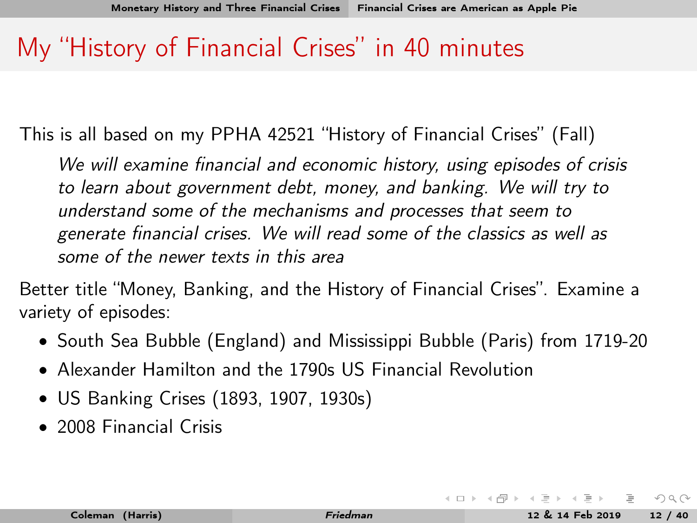### My "History of Financial Crises" in 40 minutes

This is all based on my PPHA 42521 "History of Financial Crises" (Fall)

We will examine financial and economic history, using episodes of crisis to learn about government debt, money, and banking. We will try to understand some of the mechanisms and processes that seem to generate financial crises. We will read some of the classics as well as some of the newer texts in this area

Better title "Money, Banking, and the History of Financial Crises". Examine a variety of episodes:

- South Sea Bubble (England) and Mississippi Bubble (Paris) from 1719-20
- Alexander Hamilton and the 1790s US Financial Revolution
- US Banking Crises (1893, 1907, 1930s)
- 2008 Financial Crisis

 $OQ$ 

**K ロト K 母 ト K ヨ ト K**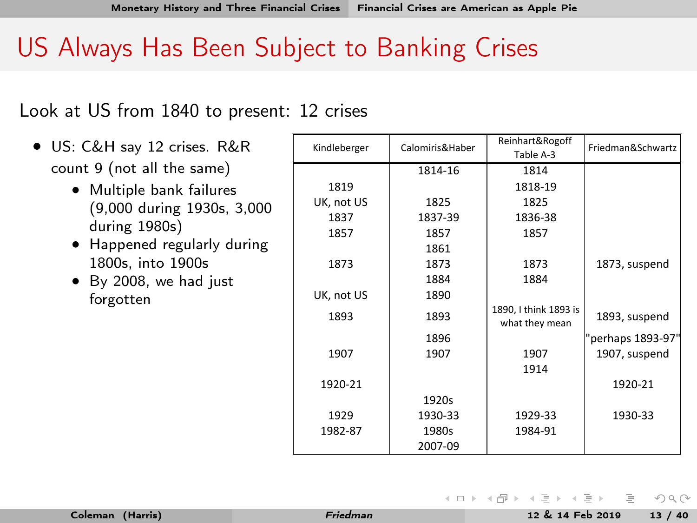## US Always Has Been Subject to Banking Crises

Look at US from 1840 to present: 12 crises

- US: C&H say 12 crises. R&R count 9 (not all the same)
	- Multiple bank failures (9,000 during 1930s, 3,000 during 1980s)
	- Happened regularly during 1800s, into 1900s
	- By 2008, we had just forgotten

| Kindleberger | Calomiris&Haber | Reinhart&Rogoff       | Friedman&Schwartz |
|--------------|-----------------|-----------------------|-------------------|
|              |                 | Table A-3             |                   |
|              | 1814-16         | 1814                  |                   |
| 1819         |                 | 1818-19               |                   |
| UK, not US   | 1825            | 1825                  |                   |
| 1837         | 1837-39         | 1836-38               |                   |
| 1857         | 1857            | 1857                  |                   |
|              | 1861            |                       |                   |
| 1873         | 1873            | 1873                  | 1873, suspend     |
|              | 1884            | 1884                  |                   |
| UK, not US   | 1890            |                       |                   |
| 1893         | 1893            | 1890, I think 1893 is | 1893, suspend     |
|              |                 | what they mean        |                   |
|              | 1896            |                       | "perhaps 1893-97' |
| 1907         | 1907            | 1907                  | 1907, suspend     |
|              |                 | 1914                  |                   |
| 1920-21      |                 |                       | 1920-21           |
|              | 1920s           |                       |                   |
| 1929         | 1930-33         | 1929-33               | 1930-33           |
| 1982-87      | 1980s           | 1984-91               |                   |
|              | 2007-09         |                       |                   |

イロト イ押ト イヨト イ

 $OQ$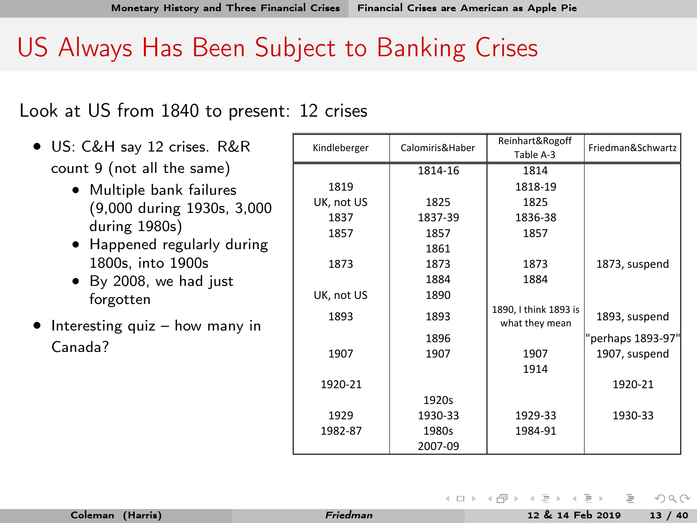## US Always Has Been Subject to Banking Crises

Look at US from 1840 to present: 12 crises

- US: C&H say 12 crises. R&R count 9 (not all the same)
	- Multiple bank failures (9,000 during 1930s, 3,000 during 1980s)
	- Happened regularly during 1800s, into 1900s
	- By 2008, we had just forgotten
- Interesting quiz how many in Canada?

|              |                 | Reinhart&Rogoff       |                   |
|--------------|-----------------|-----------------------|-------------------|
| Kindleberger | Calomiris&Haber |                       | Friedman&Schwartz |
|              |                 | Table A-3             |                   |
|              | 1814-16         | 1814                  |                   |
| 1819         |                 | 1818-19               |                   |
| UK, not US   | 1825            | 1825                  |                   |
| 1837         | 1837-39         | 1836-38               |                   |
| 1857         | 1857            | 1857                  |                   |
|              | 1861            |                       |                   |
| 1873         | 1873            | 1873                  | 1873, suspend     |
|              | 1884            | 1884                  |                   |
| UK, not US   | 1890            |                       |                   |
| 1893         | 1893            | 1890, I think 1893 is | 1893, suspend     |
|              |                 | what they mean        |                   |
|              | 1896            |                       | "perhaps 1893-97" |
| 1907         | 1907            | 1907                  | 1907, suspend     |
|              |                 | 1914                  |                   |
| 1920-21      |                 |                       | 1920-21           |
|              | 1920s           |                       |                   |
| 1929         | 1930-33         | 1929-33               | 1930-33           |
| 1982-87      | 1980s           | 1984-91               |                   |
|              | 2007-09         |                       |                   |
|              |                 |                       |                   |

イロト イ押ト イヨト イ

 $OQ$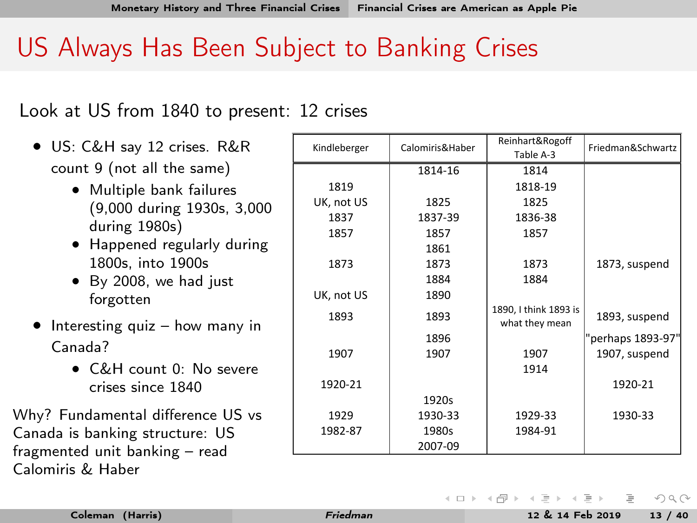## US Always Has Been Subject to Banking Crises

Look at US from 1840 to present: 12 crises

- US: C&H say 12 crises. R&R count 9 (not all the same)
	- Multiple bank failures (9,000 during 1930s, 3,000 during 1980s)
	- Happened regularly during 1800s, into 1900s
	- By 2008, we had just forgotten
- Interesting quiz how many in Canada?
	- C&H count 0: No severe crises since 1840

Why? Fundamental difference US vs Canada is banking structure: US fragmented unit banking – read Calomiris & Haber

| Kindleberger | Calomiris&Haber | Reinhart&Rogoff       | Friedman&Schwartz |
|--------------|-----------------|-----------------------|-------------------|
|              |                 | Table A-3             |                   |
|              | 1814-16         | 1814                  |                   |
| 1819         |                 | 1818-19               |                   |
| UK, not US   | 1825            | 1825                  |                   |
| 1837         | 1837-39         | 1836-38               |                   |
| 1857         | 1857            | 1857                  |                   |
|              | 1861            |                       |                   |
| 1873         | 1873            | 1873                  | 1873, suspend     |
|              | 1884            | 1884                  |                   |
| UK, not US   | 1890            |                       |                   |
| 1893         | 1893            | 1890, I think 1893 is | 1893, suspend     |
|              |                 | what they mean        |                   |
|              | 1896            |                       | "perhaps 1893-97" |
| 1907         | 1907            | 1907                  | 1907, suspend     |
|              |                 | 1914                  |                   |
| 1920-21      |                 |                       | 1920-21           |
|              | 1920s           |                       |                   |
| 1929         | 1930-33         | 1929-33               | 1930-33           |
| 1982-87      | 1980s           | 1984-91               |                   |
|              | 2007-09         |                       |                   |

イロト イ押 トイヨ トイヨト

 $\Omega$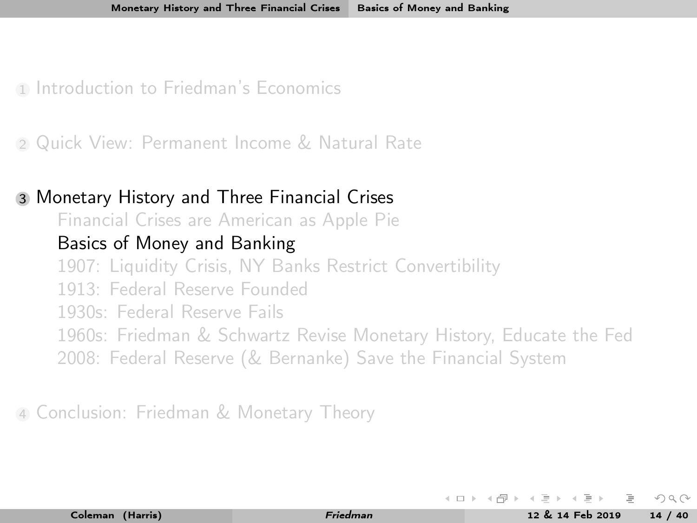<span id="page-18-0"></span>1 [Introduction to Friedman's Economics](#page-3-0)

<sup>2</sup> [Quick View: Permanent Income & Natural Rate](#page-10-0)

#### <sup>3</sup> [Monetary History and Three Financial Crises](#page-13-0)

[Financial Crises are American as Apple Pie](#page-13-0)

#### [Basics of Money and Banking](#page-18-0)

[1907: Liquidity Crisis, NY Banks Restrict Convertibility](#page-23-0)

[1913: Federal Reserve Founded](#page-32-0)

[1930s: Federal Reserve Fails](#page-34-0)

[1960s: Friedman & Schwartz Revise Monetary History, Educate the Fed](#page-38-0)

[2008: Federal Reserve \(& Bernanke\) Save the Financial System](#page-41-0)

<sup>4</sup> [Conclusion: Friedman & Monetary Theory](#page-45-0)

 $\leftarrow \pm$  ).  $\leftarrow$  (Fig. ).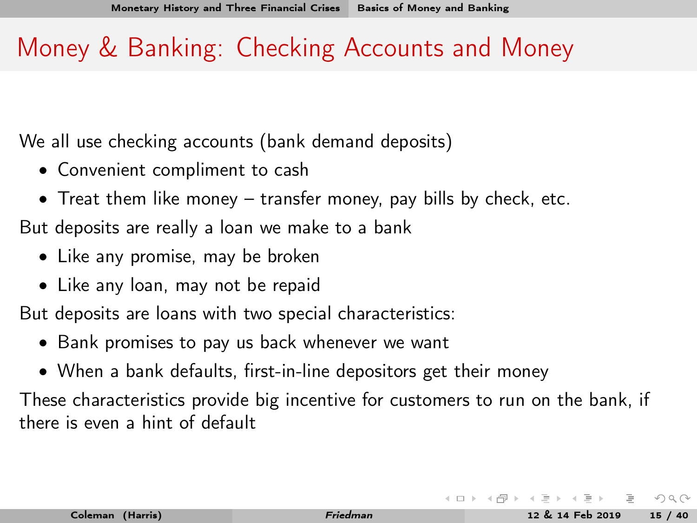## Money & Banking: Checking Accounts and Money

We all use checking accounts (bank demand deposits)

- Convenient compliment to cash
- Treat them like money transfer money, pay bills by check, etc.

But deposits are really a loan we make to a bank

- Like any promise, may be broken
- Like any loan, may not be repaid

But deposits are loans with two special characteristics:

- Bank promises to pay us back whenever we want
- When a bank defaults, first-in-line depositors get their money

These characteristics provide big incentive for customers to run on the bank, if there is even a hint of default

 $\Omega \Omega$ 

 $\leftarrow \Box$   $\rightarrow$   $\rightarrow$   $\Box$   $\rightarrow$   $\rightarrow$   $\Box$   $\rightarrow$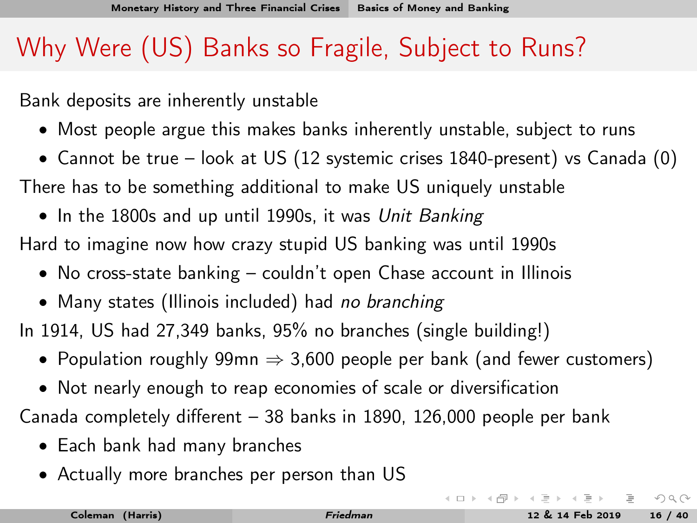## Why Were (US) Banks so Fragile, Subject to Runs?

Bank deposits are inherently unstable

- Most people argue this makes banks inherently unstable, subject to runs
- Cannot be true look at US (12 systemic crises 1840-present) vs Canada (0)

There has to be something additional to make US uniquely unstable

• In the 1800s and up until 1990s, it was Unit Banking

Hard to imagine now how crazy stupid US banking was until 1990s

- No cross-state banking couldn't open Chase account in Illinois
- Many states (Illinois included) had no branching

In 1914, US had 27,349 banks, 95% no branches (single building!)

- Population roughly 99mn  $\Rightarrow$  3,600 people per bank (and fewer customers)
- Not nearly enough to reap economies of scale or diversification

Canada completely different – 38 banks in 1890, 126,000 people per bank

- Each bank had many branches
- Actually more branches per person than US

 $OQ$ 

イロト イ押ト イヨト イヨト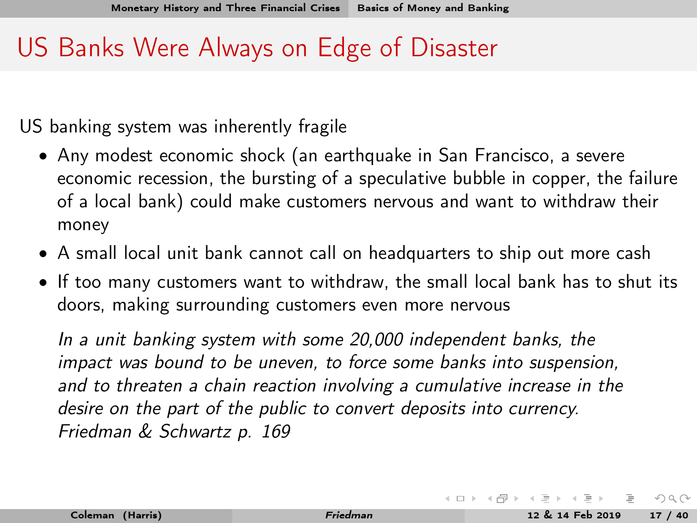## US Banks Were Always on Edge of Disaster

US banking system was inherently fragile

- Any modest economic shock (an earthquake in San Francisco, a severe economic recession, the bursting of a speculative bubble in copper, the failure of a local bank) could make customers nervous and want to withdraw their money
- A small local unit bank cannot call on headquarters to ship out more cash
- If too many customers want to withdraw, the small local bank has to shut its doors, making surrounding customers even more nervous

In a unit banking system with some 20,000 independent banks, the impact was bound to be uneven, to force some banks into suspension, and to threaten a chain reaction involving a cumulative increase in the desire on the part of the public to convert deposits into currency. Friedman & Schwartz p. 169

 $OQ$ 

 $\left\{ \begin{array}{ccc} 1 & 0 & 0 \\ 0 & 1 & 0 \end{array} \right. \times \left\{ \begin{array}{ccc} 0 & 0 & 0 \\ 0 & 0 & 0 \end{array} \right. \times \left\{ \begin{array}{ccc} 0 & 0 & 0 \\ 0 & 0 & 0 \end{array} \right. \times \left\{ \begin{array}{ccc} 0 & 0 & 0 \\ 0 & 0 & 0 \end{array} \right. \times \left\{ \begin{array}{ccc} 0 & 0 & 0 \\ 0 & 0 & 0 \end{array} \right. \times \left\{ \begin{array}{ccc} 0 & 0 & 0 \\ 0 & 0 & 0 \end$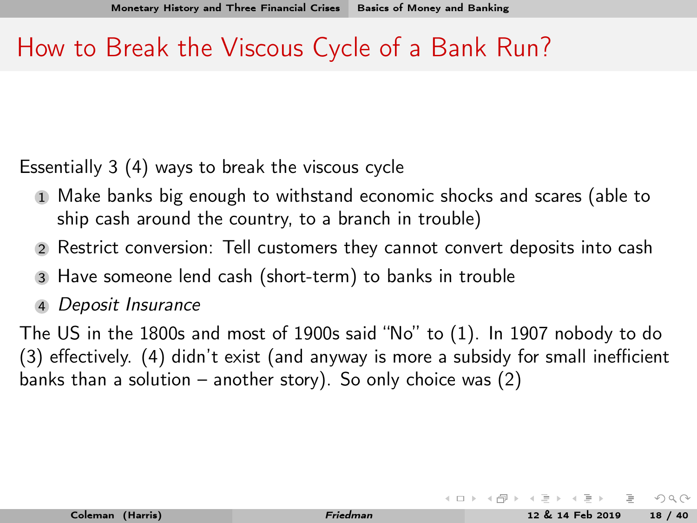### How to Break the Viscous Cycle of a Bank Run?

Essentially 3 (4) ways to break the viscous cycle

- <sup>1</sup> Make banks big enough to withstand economic shocks and scares (able to ship cash around the country, to a branch in trouble)
- <sup>2</sup> Restrict conversion: Tell customers they cannot convert deposits into cash
- <sup>3</sup> Have someone lend cash (short-term) to banks in trouble
- <sup>4</sup> Deposit Insurance

The US in the 1800s and most of 1900s said "No" to (1). In 1907 nobody to do (3) effectively. (4) didn't exist (and anyway is more a subsidy for small inefficient banks than a solution – another story). So only choice was  $(2)$ 

 $OQ$ 

イロト イ押ト イミト イミト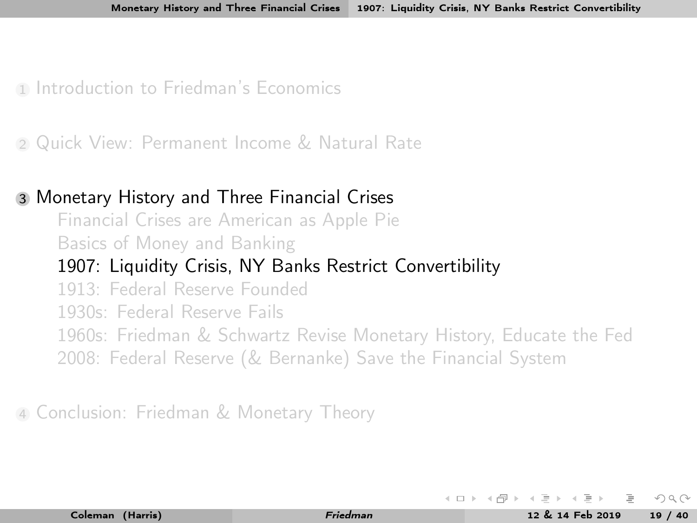<span id="page-23-0"></span>1 [Introduction to Friedman's Economics](#page-3-0)

<sup>2</sup> [Quick View: Permanent Income & Natural Rate](#page-10-0)

#### <sup>3</sup> [Monetary History and Three Financial Crises](#page-13-0)

[Financial Crises are American as Apple Pie](#page-13-0) [Basics of Money and Banking](#page-18-0) [1907: Liquidity Crisis, NY Banks Restrict Convertibility](#page-23-0) [1913: Federal Reserve Founded](#page-32-0) [1930s: Federal Reserve Fails](#page-34-0) [1960s: Friedman & Schwartz Revise Monetary History, Educate the Fed](#page-38-0) [2008: Federal Reserve \(& Bernanke\) Save the Financial System](#page-41-0)

<sup>4</sup> [Conclusion: Friedman & Monetary Theory](#page-45-0)

イロト イ母ト イヨト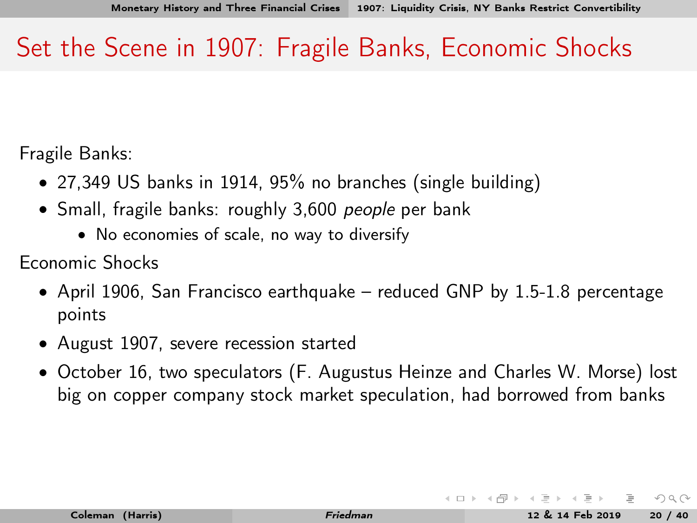## Set the Scene in 1907: Fragile Banks, Economic Shocks

Fragile Banks:

- 27,349 US banks in 1914, 95% no branches (single building)
- Small, fragile banks: roughly 3,600 people per bank
	- No economies of scale, no way to diversify

Economic Shocks

- April 1906, San Francisco earthquake reduced GNP by 1.5-1.8 percentage points
- August 1907, severe recession started
- October 16, two speculators (F. Augustus Heinze and Charles W. Morse) lost big on copper company stock market speculation, had borrowed from banks

 $\Omega \Omega$ 

 $4$  ロト 4 何 ト 4 ヨ ト 4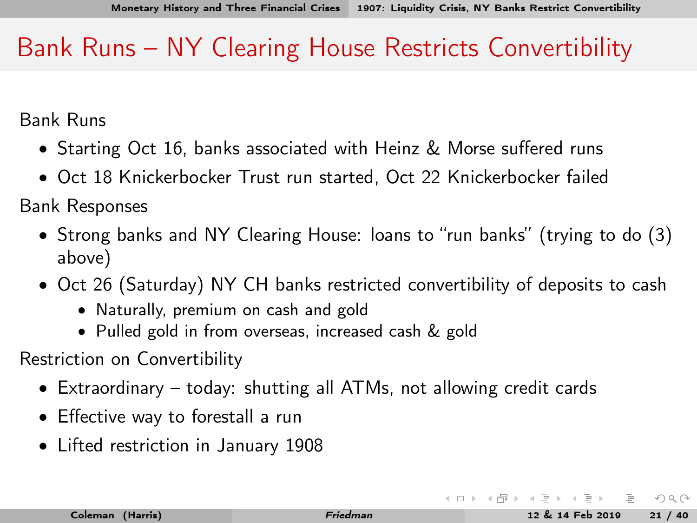## Bank Runs – NY Clearing House Restricts Convertibility

Bank Runs

- Starting Oct 16, banks associated with Heinz & Morse suffered runs
- Oct 18 Knickerbocker Trust run started, Oct 22 Knickerbocker failed

Bank Responses

- Strong banks and NY Clearing House: loans to "run banks" (trying to do (3) above)
- Oct 26 (Saturday) NY CH banks restricted convertibility of deposits to cash
	- Naturally, premium on cash and gold
	- Pulled gold in from overseas, increased cash & gold

Restriction on Convertibility

- Extraordinary today: shutting all ATMs, not allowing credit cards
- Effective way to forestall a run
- Lifted restriction in January 1908

 $OQ$ 

**K ロト K 母 ト K ヨ ト K**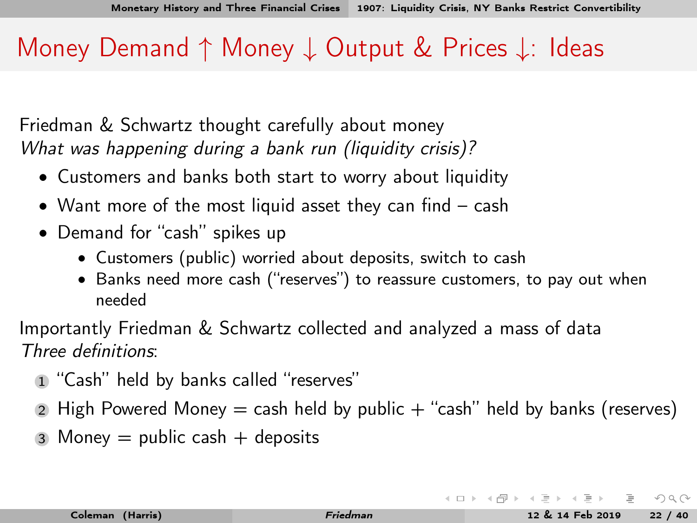### Money Demand ↑ Money ↓ Output & Prices ↓: Ideas

Friedman & Schwartz thought carefully about money What was happening during a bank run (liquidity crisis)?

- Customers and banks both start to worry about liquidity
- Want more of the most liquid asset they can find cash
- Demand for "cash" spikes up
	- Customers (public) worried about deposits, switch to cash
	- Banks need more cash ("reserves") to reassure customers, to pay out when needed

Importantly Friedman & Schwartz collected and analyzed a mass of data Three definitions:

- <sup>1</sup> "Cash" held by banks called "reserves"
- 2 High Powered Money  $=$  cash held by public  $+$  "cash" held by banks (reserves)
- 3 Money  $=$  public cash  $+$  deposits

 $OQ$ 

イロト イ押 トイヨ トイヨ トー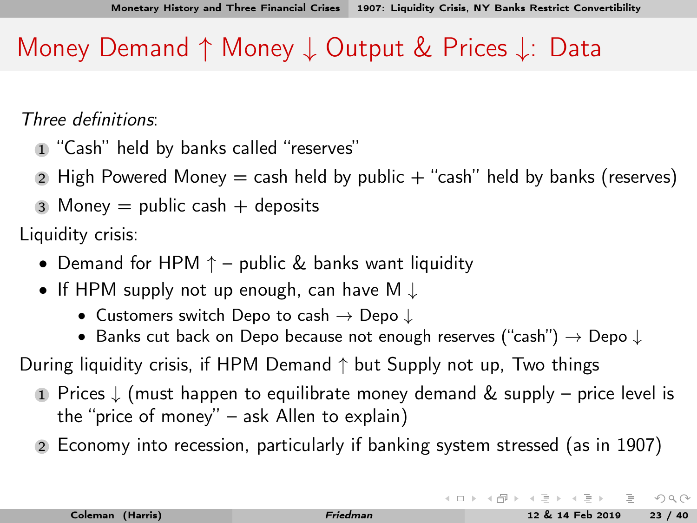## <span id="page-27-0"></span>Money Demand ↑ Money ↓ Output & Prices ↓: Data

Three definitions:

- <sup>1</sup> "Cash" held by banks called "reserves"
- 2 High Powered Money  $=$  cash held by public  $+$  "cash" held by banks (reserves)
- 3 Money  $=$  public cash  $+$  deposits

Liquidity crisis:

- Demand for HPM  $\uparrow$  public & banks want liquidity
- If HPM supply not up enough, can have M ↓
	- Customers switch Depo to cash  $\rightarrow$  Depo  $\downarrow$
	- Banks cut back on Depo because not enough reserves ("cash")  $\rightarrow$  Depo  $\downarrow$
- During liquidity crisis, if HPM Demand  $\uparrow$  but Supply not up, Two things
	- <sup>1</sup> Prices ↓ (must happen to equilibrate money demand & supply price level is the "price of money" – ask Allen to explain)
	- <sup>2</sup> Economy into recession, particularly if banking system stressed (as in 1907)

 $OQ$ 

イロト イ押ト イヨト イヨト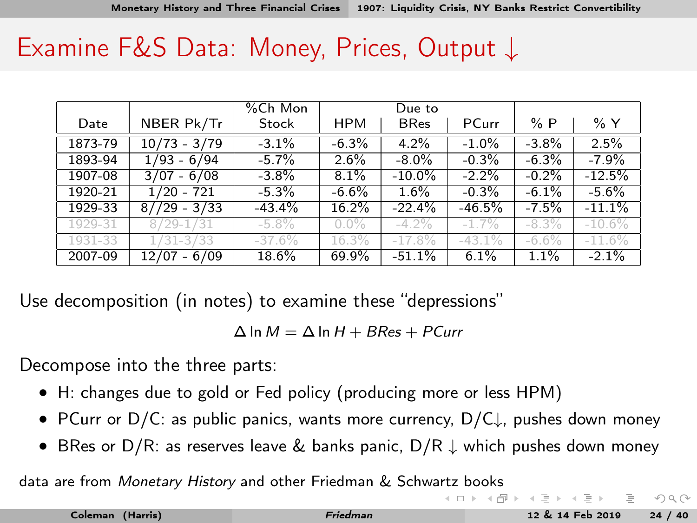<span id="page-28-0"></span>

|         |                | %Ch Mon  |            | Due to      |          |          |           |
|---------|----------------|----------|------------|-------------|----------|----------|-----------|
| Date    | NBER Pk/Tr     | Stock    | <b>HPM</b> | <b>BRes</b> | PCurr    | %P       | % Y       |
| 1873-79 | $10/73 - 3/79$ | $-3.1%$  | $-6.3%$    | 4.2%        | $-1.0%$  | $-3.8%$  | 2.5%      |
| 1893-94 | $1/93 - 6/94$  | $-5.7%$  | 2.6%       | $-8.0\%$    | $-0.3%$  | $-6.3%$  | $-7.9%$   |
| 1907-08 | $3/07 - 6/08$  | $-3.8\%$ | 8.1%       | $-10.0\%$   | $-2.2\%$ | $-0.2%$  | $-12.5%$  |
| 1920-21 | $1/20 - 721$   | $-5.3%$  | $-6.6%$    | 1.6%        | $-0.3%$  | $-6.1%$  | $-5.6%$   |
| 1929-33 | $8//29 - 3/33$ | $-43.4%$ | 16.2%      | $-22.4%$    | $-46.5%$ | $-7.5%$  | $-11.1%$  |
| 1929-31 | $8/29 - 1/31$  | $-5.8\%$ | $0.0\%$    | $-4.2\%$    | $-1.7\%$ | $-8.3\%$ | $-10.6\%$ |
| 1931-33 | $1/31 - 3/33$  | $-37.6%$ | 16.3%      | $-17.8%$    | $-43.1%$ | $-6.6%$  | $-11.6%$  |
| 2007-09 | $12/07 - 6/09$ | 18.6%    | 69.9%      | $-51.1%$    | 6.1%     | 1.1%     | $-2.1%$   |

Use decomposition (in notes) to examine these "depressions"

 $\Delta$  ln  $M = \Delta$  ln  $H + B$ Res + PCurr

Decompose into the three parts:

- H: changes due to gold or Fed policy (producing more or less HPM)
- PCurr or D/C: as public panics, wants more currency, D/C↓, pushes down money
- BRes or D/R: as reserves leave & banks panic, D/R ↓ which pushes down money

data are from Monetary History and other Friedman & Schw[artz](#page-27-0) [bo](#page-29-0)[ok](#page-27-0)[s](#page-28-0)

 $OQ$ 

 $($  ロ )  $($   $($   $\oplus$   $)$   $($   $\oplus$   $)$   $($   $\oplus$   $)$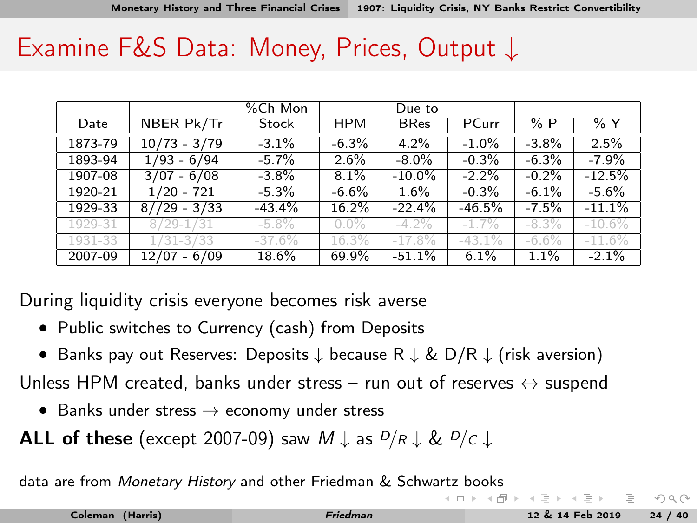<span id="page-29-0"></span>

|         |                | %Ch Mon  |            | Due to      |          |          |          |
|---------|----------------|----------|------------|-------------|----------|----------|----------|
| Date    | NBER Pk/Tr     | Stock    | <b>HPM</b> | <b>BRes</b> | PCurr    | %P       | % Y      |
| 1873-79 | $10/73 - 3/79$ | $-3.1%$  | $-6.3%$    | 4.2%        | $-1.0%$  | $-3.8%$  | 2.5%     |
| 1893-94 | $1/93 - 6/94$  | $-5.7%$  | 2.6%       | $-8.0\%$    | $-0.3%$  | $-6.3%$  | $-7.9%$  |
| 1907-08 | $3/07 - 6/08$  | $-3.8\%$ | 8.1%       | $-10.0\%$   | $-2.2%$  | $-0.2%$  | $-12.5%$ |
| 1920-21 | $1/20 - 721$   | $-5.3%$  | $-6.6%$    | 1.6%        | $-0.3%$  | $-6.1%$  | $-5.6%$  |
| 1929-33 | $8//29 - 3/33$ | $-43.4%$ | 16.2%      | $-22.4%$    | $-46.5%$ | $-7.5%$  | $-11.1%$ |
| 1929-31 | $8/29 - 1/31$  | $-5.8\%$ | $0.0\%$    | $-4.2\%$    | $-1.7\%$ | $-8.3\%$ | $-10.6%$ |
| 1931-33 | $1/31 - 3/33$  | $-37.6%$ | 16.3%      | $-17.8%$    | $-43.1%$ | $-6.6\%$ | $-11.6%$ |
| 2007-09 | $12/07 - 6/09$ | 18.6%    | 69.9%      | $-51.1%$    | 6.1%     | 1.1%     | $-2.1%$  |

During liquidity crisis everyone becomes risk averse

- Public switches to Currency (cash) from Deposits
- Banks pay out Reserves: Deposits ↓ because R ↓ & D/R ↓ (risk aversion)

Unless HPM created, banks under stress – run out of reserves  $\leftrightarrow$  suspend

• Banks under stress  $\rightarrow$  economy under stress

ALL of these (except 2007-09) saw  $M \downarrow$  as  $D/R \downarrow \& D/c \downarrow$ 

data are from Monetary History and other Friedman & Schw[artz](#page-28-0) [bo](#page-30-0)[ok](#page-27-0)[s](#page-28-0)

 $\Omega \Omega$ 

 $4$  D  $\rightarrow$   $4$   $\overline{m}$   $\rightarrow$   $4$   $\overline{m}$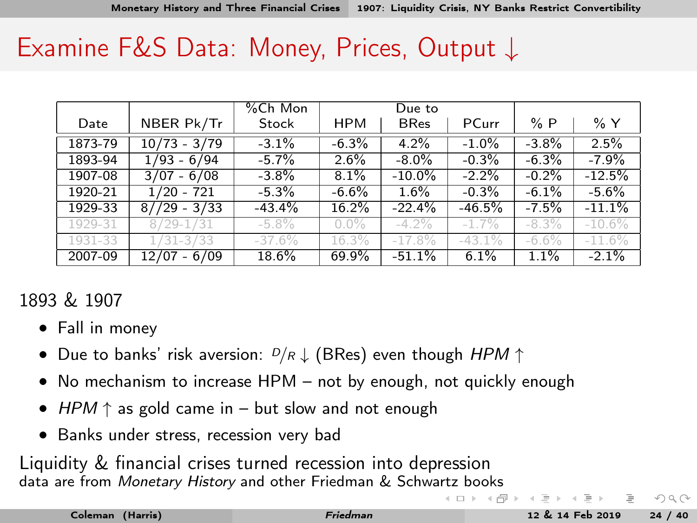<span id="page-30-0"></span>

|         |                | %Ch Mon  |            | Due to      |          |          |          |
|---------|----------------|----------|------------|-------------|----------|----------|----------|
| Date    | NBER Pk/Tr     | Stock    | <b>HPM</b> | <b>BRes</b> | PCurr    | %P       | % Y      |
| 1873-79 | $10/73 - 3/79$ | $-3.1%$  | $-6.3%$    | 4.2%        | $-1.0%$  | $-3.8%$  | 2.5%     |
| 1893-94 | $1/93 - 6/94$  | $-5.7%$  | 2.6%       | $-8.0\%$    | $-0.3%$  | $-6.3%$  | $-7.9%$  |
| 1907-08 | $3/07 - 6/08$  | $-3.8\%$ | 8.1%       | $-10.0\%$   | $-2.2%$  | $-0.2%$  | $-12.5%$ |
| 1920-21 | $1/20 - 721$   | $-5.3%$  | $-6.6%$    | 1.6%        | $-0.3%$  | $-6.1%$  | $-5.6%$  |
| 1929-33 | $8//29 - 3/33$ | $-43.4%$ | 16.2%      | $-22.4%$    | $-46.5%$ | $-7.5%$  | $-11.1%$ |
| 1929-31 | $8/29 - 1/31$  | $-5.8\%$ | $0.0\%$    | $-4.2\%$    | $-1.7\%$ | $-8.3\%$ | $-10.6%$ |
| 1931-33 | $1/31 - 3/33$  | $-37.6%$ | 16.3%      | $-17.8%$    | $-43.1%$ | $-6.6%$  | $-11.6%$ |
| 2007-09 | $12/07 - 6/09$ | 18.6%    | 69.9%      | $-51.1%$    | 6.1%     | 1.1%     | $-2.1%$  |

#### 1893 & 1907

- Fall in money
- Due to banks' risk aversion:  $D/R \downarrow$  (BRes) even though HPM  $\uparrow$
- No mechanism to increase HPM not by enough, not quickly enough
- HPM  $\uparrow$  as gold came in but slow and not enough
- Banks under stress, recession very bad

Liquidity & financial crises turned recession into depression data are from Monetary History and other Friedman & Schw[artz](#page-29-0) [bo](#page-31-0)[ok](#page-27-0)[s](#page-28-0)

 $\Omega \Omega$ 

 $4$  ロト 4 何 ト 4 ヨ ト 4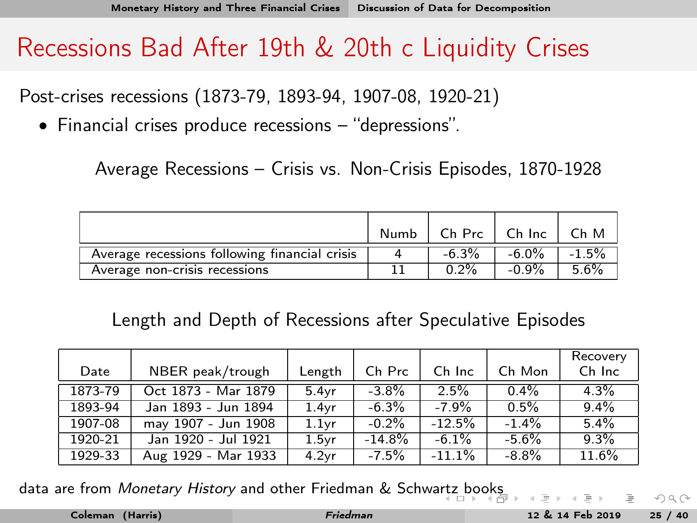### <span id="page-31-0"></span>Recessions Bad After 19th & 20th c Liquidity Crises

Post-crises recessions (1873-79, 1893-94, 1907-08, 1920-21)

• Financial crises produce recessions – "depressions".

Average Recessions – Crisis vs. Non-Crisis Episodes, 1870-1928

|                                               | Numb |          | $Ch$ Prc $\Box$ Ch Inc | Ch M    |
|-----------------------------------------------|------|----------|------------------------|---------|
| Average recessions following financial crisis |      | $-6.3\%$ | -6.0%                  | $-1.5%$ |
| Average non-crisis recessions                 |      | $0.2\%$  | $-0.9\%$               | 5.6%    |

Length and Depth of Recessions after Speculative Episodes

|         |                     |                   |           |           |          | Recovery |
|---------|---------------------|-------------------|-----------|-----------|----------|----------|
| Date    | NBER peak/trough    | Length            | Ch Prc    | Ch Inc    | Ch Mon   | Ch Inc   |
| 1873-79 | Oct 1873 - Mar 1879 | 5.4vr             | $-3.8\%$  | 2.5%      | $0.4\%$  | $4.3\%$  |
| 1893-94 | Jan 1893 - Jun 1894 | 1.4vr             | $-6.3\%$  | $-7.9\%$  | 0.5%     | $9.4\%$  |
| 1907-08 | may 1907 - Jun 1908 | 1.1 <sub>vr</sub> | $-0.2%$   | $-12.5%$  | $-1.4%$  | 5.4%     |
| 1920-21 | Jan 1920 - Jul 1921 | 1.5 <sub>vr</sub> | $-14.8\%$ | $-6.1\%$  | $-5.6%$  | 9.3%     |
| 1929-33 | Aug 1929 - Mar 1933 | 4.2 <sub>vr</sub> | $-7.5%$   | $-11.1\%$ | $-8.8\%$ | 11.6%    |

data are from Monetary History and other Friedman & Schw[artz](#page-30-0) [bo](#page-32-0)[ok](#page-30-0)[s](#page-31-0)

 $\Omega \Omega$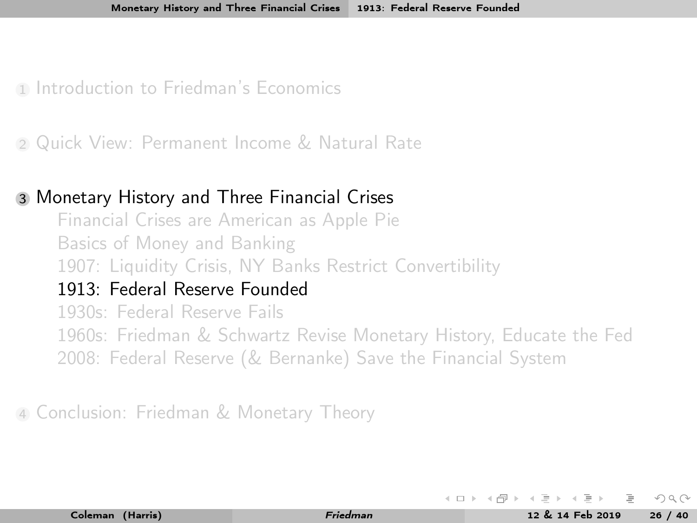<span id="page-32-0"></span>1 [Introduction to Friedman's Economics](#page-3-0)

<sup>2</sup> [Quick View: Permanent Income & Natural Rate](#page-10-0)

#### <sup>3</sup> [Monetary History and Three Financial Crises](#page-13-0)

[Financial Crises are American as Apple Pie](#page-13-0) [Basics of Money and Banking](#page-18-0) [1907: Liquidity Crisis, NY Banks Restrict Convertibility](#page-23-0) [1913: Federal Reserve Founded](#page-32-0) [1930s: Federal Reserve Fails](#page-34-0) [1960s: Friedman & Schwartz Revise Monetary History, Educate the Fed](#page-38-0) [2008: Federal Reserve \(& Bernanke\) Save the Financial System](#page-41-0)

<sup>4</sup> [Conclusion: Friedman & Monetary Theory](#page-45-0)

 $\leftarrow \pm$  ).  $\leftarrow$  (Fig. ).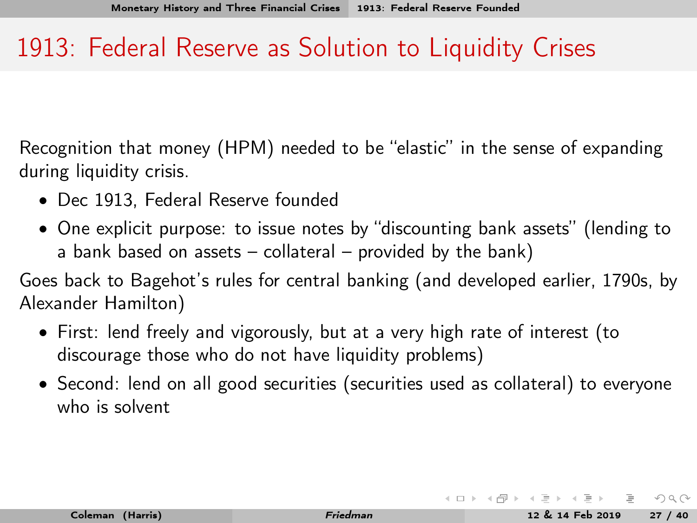### <span id="page-33-0"></span>1913: Federal Reserve as Solution to Liquidity Crises

Recognition that money (HPM) needed to be "elastic" in the sense of expanding during liquidity crisis.

- Dec 1913, Federal Reserve founded
- One explicit purpose: to issue notes by "discounting bank assets" (lending to a bank based on assets  $-$  collateral  $-$  provided by the bank)

Goes back to Bagehot's rules for central banking (and developed earlier, 1790s, by Alexander Hamilton)

- First: lend freely and vigorously, but at a very high rate of interest (to discourage those who do not have liquidity problems)
- Second: lend on all good securities (securities used as collateral) to everyone who is solvent

 $OQ$ 

イロト イ押ト イヨト イヨト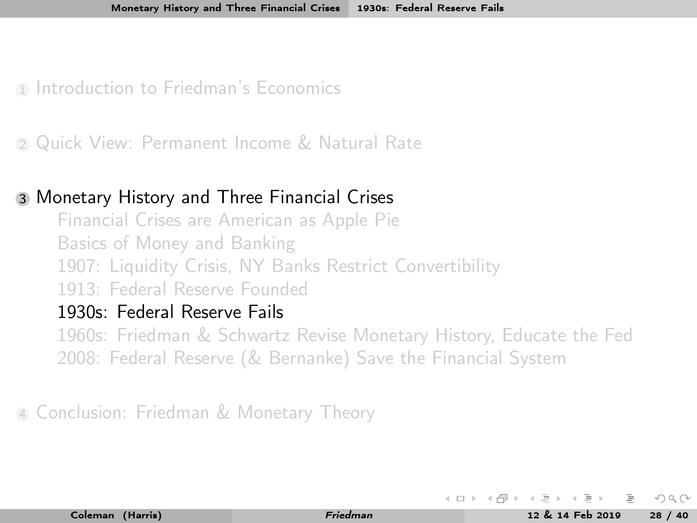<span id="page-34-0"></span>1 [Introduction to Friedman's Economics](#page-3-0)

<sup>2</sup> [Quick View: Permanent Income & Natural Rate](#page-10-0)

#### <sup>3</sup> [Monetary History and Three Financial Crises](#page-13-0)

[Financial Crises are American as Apple Pie](#page-13-0) [Basics of Money and Banking](#page-18-0) [1907: Liquidity Crisis, NY Banks Restrict Convertibility](#page-23-0) [1913: Federal Reserve Founded](#page-32-0)

#### [1930s: Federal Reserve Fails](#page-34-0)

[1960s: Friedman & Schwartz Revise Monetary History, Educate the Fed](#page-38-0) [2008: Federal Reserve \(& Bernanke\) Save the Financial System](#page-41-0)

<sup>4</sup> [Conclusion: Friedman & Monetary Theory](#page-45-0)

 $\leftarrow \pm$  ).  $\leftarrow$  (Fig. ).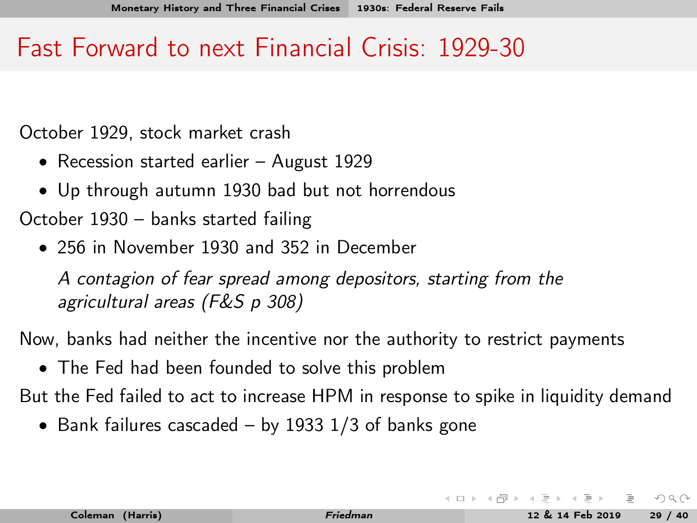### <span id="page-35-0"></span>Fast Forward to next Financial Crisis: 1929-30

October 1929, stock market crash

- Recession started earlier August 1929
- Up through autumn 1930 bad but not horrendous
- October 1930 banks started failing
	- 256 in November 1930 and 352 in December

A contagion of fear spread among depositors, starting from the agricultural areas (F&S p 308)

Now, banks had neither the incentive nor the authority to restrict payments

• The Fed had been founded to solve this problem

But the Fed failed to act to increase HPM in response to spike in liquidity demand

• Bank failures cascaded – by 1933  $1/3$  of banks gone

 $\Omega$ 

**K ロト K 母 ト K ヨ ト K**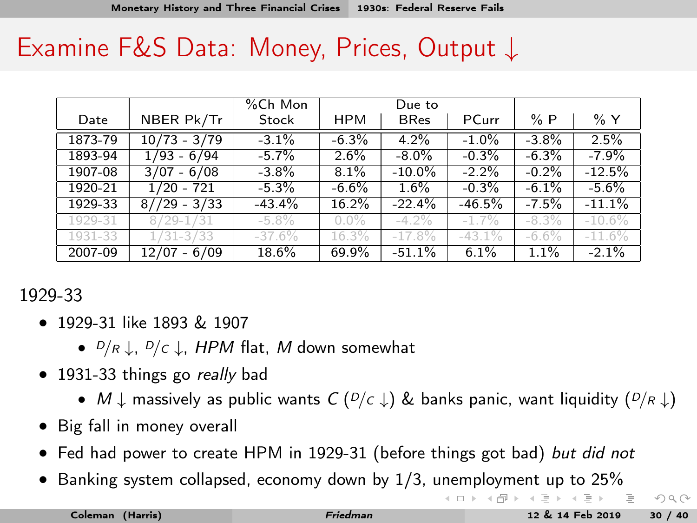<span id="page-36-0"></span>

|         |                | %Ch Mon  |            | Due to      |           |          |           |
|---------|----------------|----------|------------|-------------|-----------|----------|-----------|
| Date    | NBER Pk/Tr     | Stock    | <b>HPM</b> | <b>BRes</b> | PCurr     | %P       | %Y        |
| 1873-79 | $10/73 - 3/79$ | $-3.1%$  | $-6.3%$    | 4.2%        | $-1.0%$   | $-3.8%$  | 2.5%      |
| 1893-94 | $1/93 - 6/94$  | $-5.7%$  | $2.6\%$    | $-8.0\%$    | $-0.3%$   | $-6.3%$  | $-7.9%$   |
| 1907-08 | $3/07 - 6/08$  | $-3.8%$  | 8.1%       | $-10.0\%$   | $-2.2%$   | $-0.2%$  | $-12.5%$  |
| 1920-21 | 1/20 - 721     | $-5.3\%$ | $-6.6%$    | 1.6%        | $-0.3%$   | $-6.1%$  | $-5.6%$   |
| 1929-33 | $8//29 - 3/33$ | $-43.4%$ | 16.2%      | $-22.4%$    | $-46.5%$  | $-7.5%$  | $-11.1%$  |
| 1929-31 | $8/29 - 1/31$  | $-5.8\%$ | $0.0\%$    | $-4.2\%$    | $-1.7%$   | $-8.3\%$ | $-10.6\%$ |
| 1931-33 | $1/31 - 3/33$  | $-37.6%$ | 16.3%      | $-17.8%$    | $-43.1\%$ | $-6.6\%$ | $-11.6%$  |
| 2007-09 | $12/07 - 6/09$ | 18.6%    | 69.9%      | $-51.1%$    | 6.1%      | 1.1%     | $-2.1%$   |

#### 1929-33

- 1929-31 like 1893 & 1907
	- $D/R \perp$ ,  $D/C \perp$ , HPM flat, M down somewhat
- 1931-33 things go really bad
	- $M \downarrow$  massively as public wants  $C (D/c \downarrow)$  & banks panic, want liquidity  $(D/R \downarrow)$
- Big fall in money overall
- Fed had power to create HPM in 1929-31 (before things got bad) but did not
- Banking system collapsed, economy down by 1/3, [une](#page-35-0)[mp](#page-37-0)[lo](#page-35-0)[ym](#page-36-0)[e](#page-37-0)[n](#page-33-0)[t](#page-34-0) [u](#page-37-0)[p](#page-38-0) [t](#page-12-0)[o](#page-13-0) [2](#page-44-0)[5](#page-45-0)[%](#page-0-0)

- 그

 $OQ$ 

イロト イ部 トイモト イモト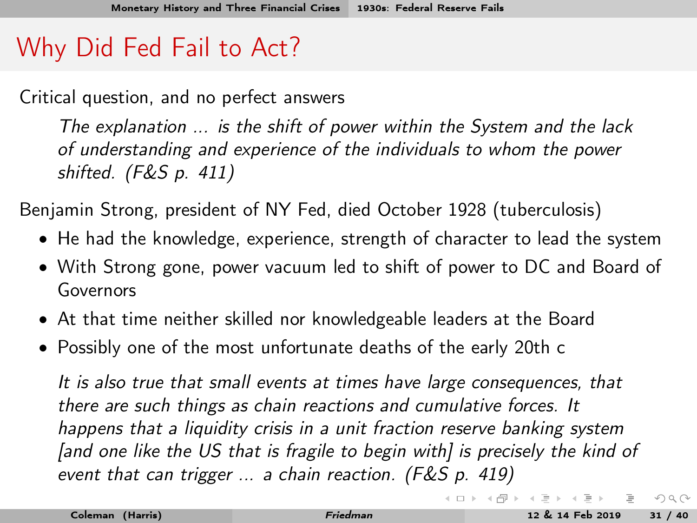# <span id="page-37-0"></span>Why Did Fed Fail to Act?

Critical question, and no perfect answers

The explanation ... is the shift of power within the System and the lack of understanding and experience of the individuals to whom the power shifted. (F&S p. 411)

Benjamin Strong, president of NY Fed, died October 1928 (tuberculosis)

- He had the knowledge, experience, strength of character to lead the system
- With Strong gone, power vacuum led to shift of power to DC and Board of Governors
- At that time neither skilled nor knowledgeable leaders at the Board
- Possibly one of the most unfortunate deaths of the early 20th c

It is also true that small events at times have large consequences, that there are such things as chain reactions and cumulative forces. It happens that a liquidity crisis in a unit fraction reserve banking system [and one like the US that is fragile to begin with] is precisely the kind of event that can trigger ... a chain reaction. (F&S p. 419)

 $\equiv$ 

 $OQ$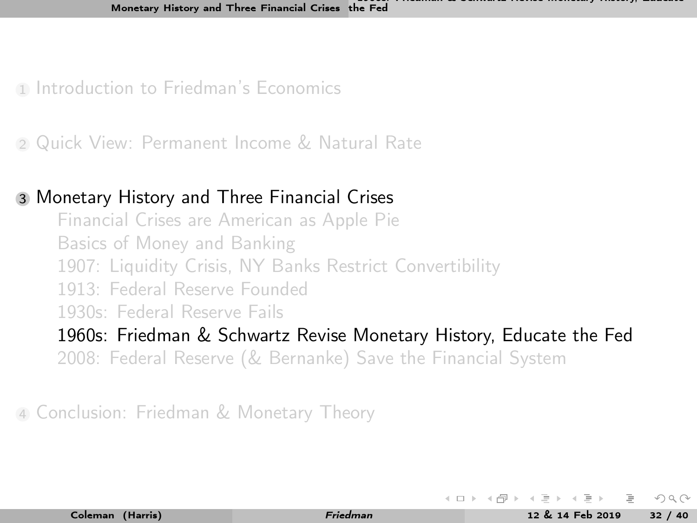- <span id="page-38-0"></span>1 [Introduction to Friedman's Economics](#page-3-0)
- <sup>2</sup> [Quick View: Permanent Income & Natural Rate](#page-10-0)

#### <sup>3</sup> [Monetary History and Three Financial Crises](#page-13-0)

[Financial Crises are American as Apple Pie](#page-13-0) [Basics of Money and Banking](#page-18-0) [1907: Liquidity Crisis, NY Banks Restrict Convertibility](#page-23-0) [1913: Federal Reserve Founded](#page-32-0) [1930s: Federal Reserve Fails](#page-34-0)

[1960s: Friedman & Schwartz Revise Monetary History, Educate the Fed](#page-38-0) [2008: Federal Reserve \(& Bernanke\) Save the Financial System](#page-41-0)

<sup>4</sup> [Conclusion: Friedman & Monetary Theory](#page-45-0)

 $\leftarrow \pm$  ).  $\leftarrow$  (Fig. ).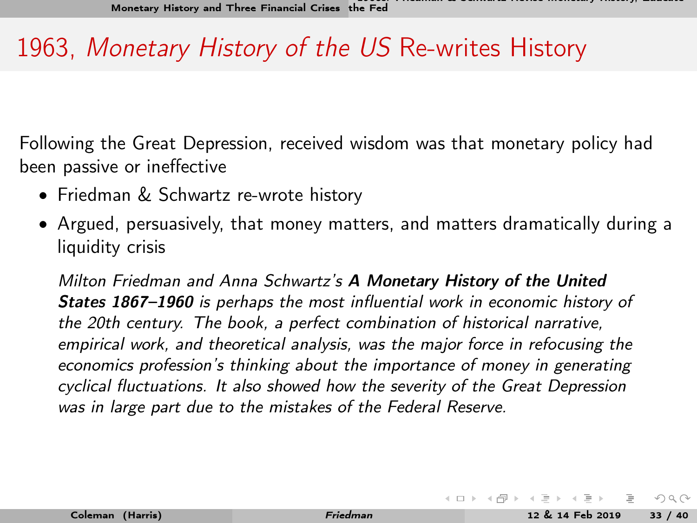## 1963, Monetary History of the US Re-writes History

Following the Great Depression, received wisdom was that monetary policy had been passive or ineffective

- Friedman & Schwartz re-wrote history
- Argued, persuasively, that money matters, and matters dramatically during a liquidity crisis

Milton Friedman and Anna Schwartz's A Monetary History of the United States 1867–1960 is perhaps the most influential work in economic history of the 20th century. The book, a perfect combination of historical narrative, empirical work, and theoretical analysis, was the major force in refocusing the economics profession's thinking about the importance of money in generating cyclical fluctuations. It also showed how the severity of the Great Depression was in large part due to the mistakes of the Federal Reserve.

 $OQ$ 

イロト イ押ト イヨト イヨト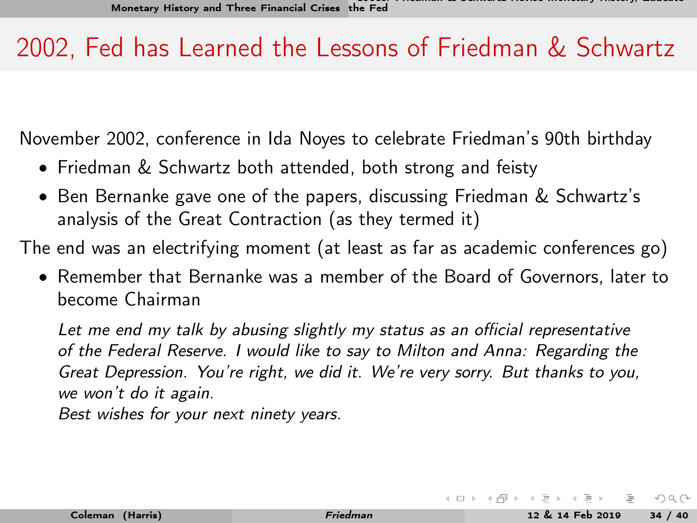## <span id="page-40-0"></span>2002, Fed has Learned the Lessons of Friedman & Schwartz

November 2002, conference in Ida Noyes to celebrate Friedman's 90th birthday

- Friedman & Schwartz both attended, both strong and feisty
- Ben Bernanke gave one of the papers, discussing Friedman & Schwartz's analysis of the Great Contraction (as they termed it)

The end was an electrifying moment (at least as far as academic conferences go)

• Remember that Bernanke was a member of the Board of Governors, later to become Chairman

Let me end my talk by abusing slightly my status as an official representative of the Federal Reserve. I would like to say to Milton and Anna: Regarding the Great Depression. You're right, we did it. We're very sorry. But thanks to you, we won't do it again.

Best wishes for your next ninety years.

 $OQ$ 

イロト イ部 トイモト イモト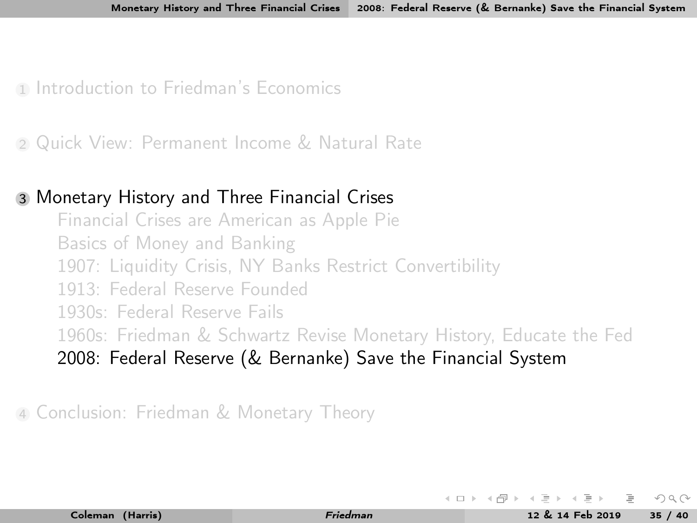<span id="page-41-0"></span>1 [Introduction to Friedman's Economics](#page-3-0)

<sup>2</sup> [Quick View: Permanent Income & Natural Rate](#page-10-0)

#### <sup>3</sup> [Monetary History and Three Financial Crises](#page-13-0)

[Financial Crises are American as Apple Pie](#page-13-0) [Basics of Money and Banking](#page-18-0) [1907: Liquidity Crisis, NY Banks Restrict Convertibility](#page-23-0) [1913: Federal Reserve Founded](#page-32-0) [1930s: Federal Reserve Fails](#page-34-0) [1960s: Friedman & Schwartz Revise Monetary History, Educate the Fed](#page-38-0) [2008: Federal Reserve \(& Bernanke\) Save the Financial System](#page-41-0)

<sup>4</sup> [Conclusion: Friedman & Monetary Theory](#page-45-0)

イロト イ母ト イヨト イ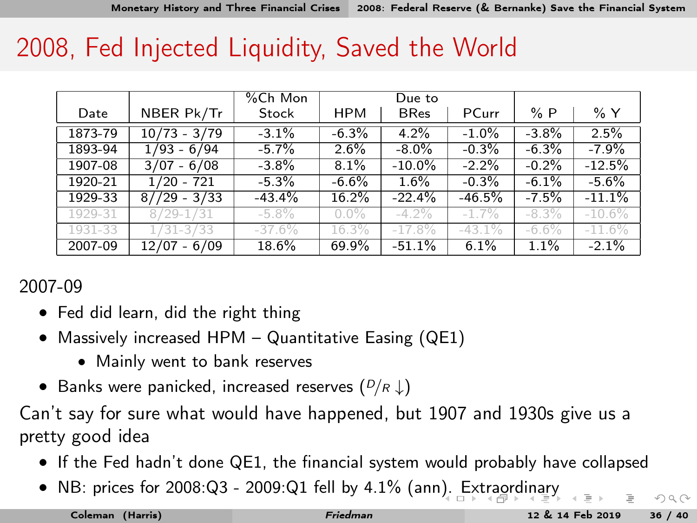### <span id="page-42-0"></span>2008, Fed Injected Liquidity, Saved the World

|         |                | %Ch Mon  |            | Due to      |          |          |           |
|---------|----------------|----------|------------|-------------|----------|----------|-----------|
| Date    | NBER Pk/Tr     | Stock    | <b>HPM</b> | <b>BRes</b> | PCurr    | %P       | % Y       |
| 1873-79 | $10/73 - 3/79$ | $-3.1%$  | $-6.3%$    | 4.2%        | $-1.0%$  | $-3.8%$  | 2.5%      |
| 1893-94 | $1/93 - 6/94$  | $-5.7%$  | 2.6%       | $-8.0\%$    | $-0.3%$  | $-6.3%$  | $-7.9%$   |
| 1907-08 | $3/07 - 6/08$  | $-3.8\%$ | 8.1%       | $-10.0\%$   | $-2.2%$  | $-0.2%$  | $-12.5%$  |
| 1920-21 | $1/20 - 721$   | $-5.3\%$ | $-6.6%$    | $1.6\%$     | $-0.3%$  | $-6.1%$  | $-5.6%$   |
| 1929-33 | $8//29 - 3/33$ | $-43.4%$ | 16.2%      | $-22.4%$    | $-46.5%$ | $-7.5%$  | $-11.1%$  |
| 1929-31 | $8/29 - 1/31$  | $-5.8\%$ | $0.0\%$    | $-4.2\%$    | $-1.7\%$ | $-8.3\%$ | $-10.6\%$ |
| 1931-33 | $1/31 - 3/33$  | $-37.6%$ | 16.3%      | $-17.8%$    | $-43.1%$ | $-6.6\%$ | $-11.6%$  |
| 2007-09 | $12/07 - 6/09$ | 18.6%    | 69.9%      | $-51.1%$    | 6.1%     | 1.1%     | $-2.1%$   |

#### 2007-09

- Fed did learn, did the right thing
- Massively increased HPM Quantitative Easing (QE1)
	- Mainly went to bank reserves
- Banks were panicked, increased reserves  $(D/R \downarrow)$

Can't say for sure what would have happened, but 1907 and 1930s give us a pretty good idea

- If the Fed hadn't done QE1, the financial system would probably have collapsed
- NB: prices for 2008:Q3 2009:Q1 fell by 4.1% (an[n\).](#page-41-0) [Ext](#page-43-0)[r](#page-41-0)[aor](#page-42-0)[d](#page-43-0)[in](#page-40-0)[a](#page-41-0)[ry](#page-44-0)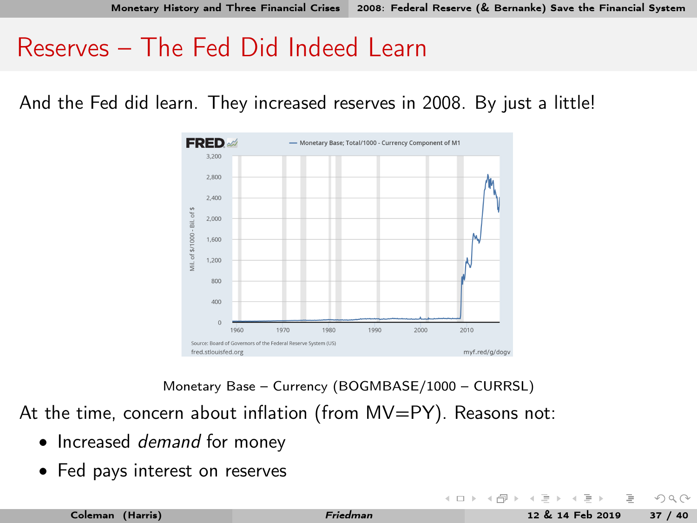### <span id="page-43-0"></span>Reserves – The Fed Did Indeed Learn

And the Fed did learn. They increased reserves in 2008. By just a little!



Monetary Base – Currency (BOGMBASE/1000 – CURRSL)

At the time, concern about inflation (from MV=PY). Reasons not:

- Increased *demand* for money
- Fed pays interest on reserves

 $OQ$ 

 $4$  D  $\rightarrow$   $4$   $\overline{m}$   $\rightarrow$   $4$   $\overline{m}$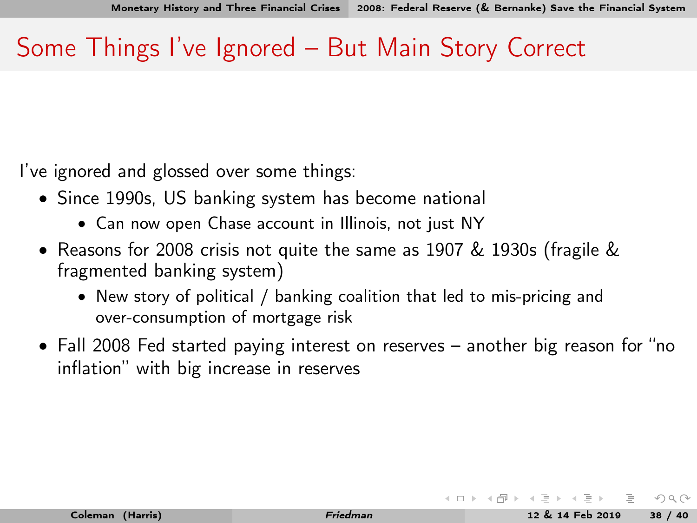### <span id="page-44-0"></span>Some Things I've Ignored – But Main Story Correct

I've ignored and glossed over some things:

- Since 1990s, US banking system has become national
	- Can now open Chase account in Illinois, not just NY
- Reasons for 2008 crisis not quite the same as 1907 & 1930s (fragile & fragmented banking system)
	- New story of political / banking coalition that led to mis-pricing and over-consumption of mortgage risk
- Fall 2008 Fed started paying interest on reserves another big reason for "no inflation" with big increase in reserves

 $\Omega$ 

 $($  ロ )  $($   $($   $\oplus$   $)$   $($   $\oplus$   $)$   $($   $\oplus$   $)$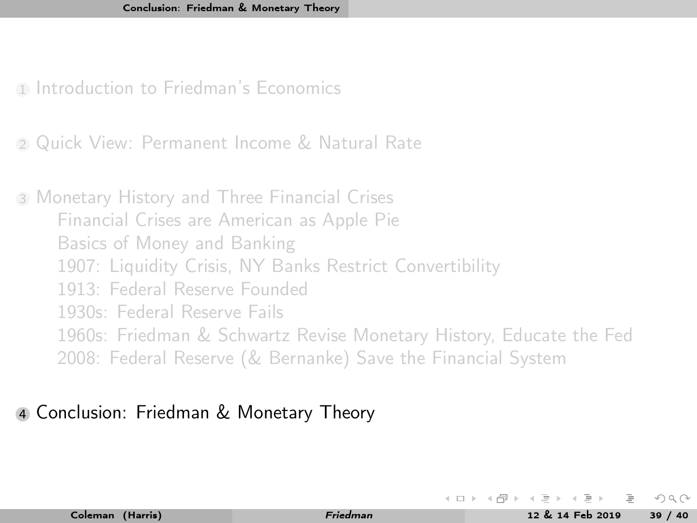<span id="page-45-0"></span>1 [Introduction to Friedman's Economics](#page-3-0)

<sup>2</sup> [Quick View: Permanent Income & Natural Rate](#page-10-0)

<sup>3</sup> [Monetary History and Three Financial Crises](#page-13-0) [Financial Crises are American as Apple Pie](#page-13-0) [Basics of Money and Banking](#page-18-0) [1907: Liquidity Crisis, NY Banks Restrict Convertibility](#page-23-0) [1913: Federal Reserve Founded](#page-32-0) [1930s: Federal Reserve Fails](#page-34-0) [1960s: Friedman & Schwartz Revise Monetary History, Educate the Fed](#page-38-0) [2008: Federal Reserve \(& Bernanke\) Save the Financial System](#page-41-0)

#### <sup>4</sup> [Conclusion: Friedman & Monetary Theory](#page-45-0)

 $\leftarrow \Box$  )  $\rightarrow$   $\leftarrow$   $\Box$  )  $\rightarrow$   $\leftarrow$   $\Box$  ).